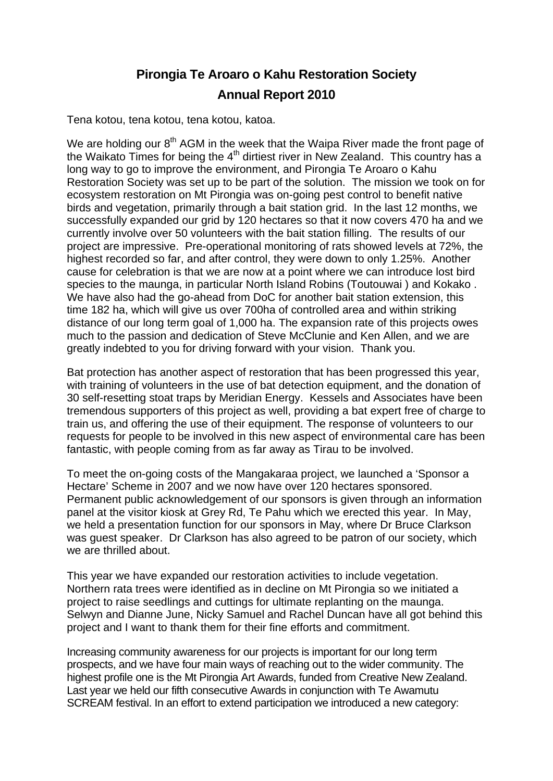## **Pirongia Te Aroaro o Kahu Restoration Society Annual Report 2010**

Tena kotou, tena kotou, tena kotou, katoa.

We are holding our 8<sup>th</sup> AGM in the week that the Waipa River made the front page of the Waikato Times for being the  $4<sup>th</sup>$  dirtiest river in New Zealand. This country has a long way to go to improve the environment, and Pirongia Te Aroaro o Kahu Restoration Society was set up to be part of the solution. The mission we took on for ecosystem restoration on Mt Pirongia was on-going pest control to benefit native birds and vegetation, primarily through a bait station grid. In the last 12 months, we successfully expanded our grid by 120 hectares so that it now covers 470 ha and we currently involve over 50 volunteers with the bait station filling. The results of our project are impressive. Pre-operational monitoring of rats showed levels at 72%, the highest recorded so far, and after control, they were down to only 1.25%. Another cause for celebration is that we are now at a point where we can introduce lost bird species to the maunga, in particular North Island Robins (Toutouwai ) and Kokako . We have also had the go-ahead from DoC for another bait station extension, this time 182 ha, which will give us over 700ha of controlled area and within striking distance of our long term goal of 1,000 ha. The expansion rate of this projects owes much to the passion and dedication of Steve McClunie and Ken Allen, and we are greatly indebted to you for driving forward with your vision. Thank you.

Bat protection has another aspect of restoration that has been progressed this year, with training of volunteers in the use of bat detection equipment, and the donation of 30 self-resetting stoat traps by Meridian Energy. Kessels and Associates have been tremendous supporters of this project as well, providing a bat expert free of charge to train us, and offering the use of their equipment. The response of volunteers to our requests for people to be involved in this new aspect of environmental care has been fantastic, with people coming from as far away as Tirau to be involved.

To meet the on-going costs of the Mangakaraa project, we launched a 'Sponsor a Hectare' Scheme in 2007 and we now have over 120 hectares sponsored. Permanent public acknowledgement of our sponsors is given through an information panel at the visitor kiosk at Grey Rd, Te Pahu which we erected this year. In May, we held a presentation function for our sponsors in May, where Dr Bruce Clarkson was guest speaker. Dr Clarkson has also agreed to be patron of our society, which we are thrilled about.

This year we have expanded our restoration activities to include vegetation. Northern rata trees were identified as in decline on Mt Pirongia so we initiated a project to raise seedlings and cuttings for ultimate replanting on the maunga. Selwyn and Dianne June, Nicky Samuel and Rachel Duncan have all got behind this project and I want to thank them for their fine efforts and commitment.

Increasing community awareness for our projects is important for our long term prospects, and we have four main ways of reaching out to the wider community. The highest profile one is the Mt Pirongia Art Awards, funded from Creative New Zealand. Last year we held our fifth consecutive Awards in conjunction with Te Awamutu SCREAM festival. In an effort to extend participation we introduced a new category: